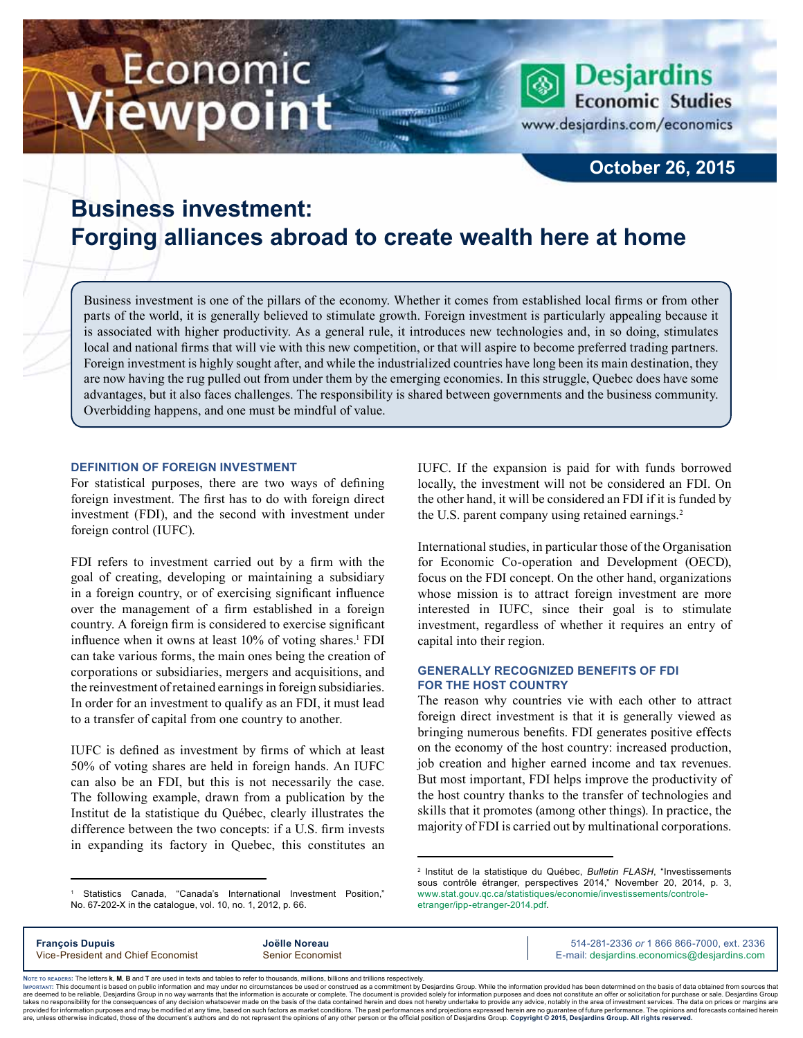# Economic iewpoint

www.desjardins.com/economics

**Desjardins Economic Studies** 

## **October 26, 2015**

# **Business investment: Forging alliances abroad to create wealth here at home**

Business investment is one of the pillars of the economy. Whether it comes from established local firms or from other parts of the world, it is generally believed to stimulate growth. Foreign investment is particularly appealing because it is associated with higher productivity. As a general rule, it introduces new technologies and, in so doing, stimulates local and national firms that will vie with this new competition, or that will aspire to become preferred trading partners. Foreign investment is highly sought after, and while the industrialized countries have long been its main destination, they are now having the rug pulled out from under them by the emerging economies. In this struggle, Quebec does have some advantages, but it also faces challenges. The responsibility is shared between governments and the business community. Overbidding happens, and one must be mindful of value.

#### **Definition of foreign investment**

For statistical purposes, there are two ways of defining foreign investment. The first has to do with foreign direct investment (FDI), and the second with investment under foreign control (IUFC).

FDI refers to investment carried out by a firm with the goal of creating, developing or maintaining a subsidiary in a foreign country, or of exercising significant influence over the management of a firm established in a foreign country. A foreign firm is considered to exercise significant influence when it owns at least 10% of voting shares.<sup>1</sup> FDI can take various forms, the main ones being the creation of corporations or subsidiaries, mergers and acquisitions, and the reinvestment of retained earnings in foreign subsidiaries. In order for an investment to qualify as an FDI, it must lead to a transfer of capital from one country to another.

IUFC is defined as investment by firms of which at least 50% of voting shares are held in foreign hands. An IUFC can also be an FDI, but this is not necessarily the case. The following example, drawn from a publication by the Institut de la statistique du Québec, clearly illustrates the difference between the two concepts: if a U.S. firm invests in expanding its factory in Quebec, this constitutes an

1 Statistics Canada, "Canada's International Investment Position," No. 67-202-X in the catalogue, vol. 10, no. 1, 2012, p. 66.

IUFC. If the expansion is paid for with funds borrowed locally, the investment will not be considered an FDI. On the other hand, it will be considered an FDI if it is funded by the U.S. parent company using retained earnings.<sup>2</sup>

International studies, in particular those of the Organisation for Economic Co-operation and Development (OECD), focus on the FDI concept. On the other hand, organizations whose mission is to attract foreign investment are more interested in IUFC, since their goal is to stimulate investment, regardless of whether it requires an entry of capital into their region.

#### **Generally recognized benefits of FDI for the host country**

The reason why countries vie with each other to attract foreign direct investment is that it is generally viewed as bringing numerous benefits. FDI generates positive effects on the economy of the host country: increased production, job creation and higher earned income and tax revenues. But most important, FDI helps improve the productivity of the host country thanks to the transfer of technologies and skills that it promotes (among other things). In practice, the majority of FDI is carried out by multinational corporations.

**François Dupuis Joëlle Noreau** 514-281-2336 *or* 1 866 866-7000, ext. 2336 Vice-President and Chief Economist Senior Economist Senior Economist E-mail: desjardins.economics@desjardins.com

Noте то келоекs: The letters **k, M, B** and T are used in texts and tables to refer to thousands, millions, billions and trillions respectively.<br>Імроктли: This document is based on public information and may under no circu are deemed to be reliable. Desiardins Group in no way warrants that the information is accurate or complete. The document is provided solely for information purposes and does not constitute an offer or solicitation for pur takes no responsibility for the consequences of any decision whatsoever made on the basis of the data contained herein and does not hereby undertake to provide any advice, notably in the area of investment services. The da .<br>are, unless otherwise indicated, those of the document's authors and do not represent the opinions of any other person or the official position of Desjardins Group. Copyright © 2015, Desjardins Group. All rights reserved

<sup>2</sup> Institut de la statistique du Québec, *Bulletin FLASH*, "Investissements sous contrôle étranger, perspectives 2014," November 20, 2014, p. 3, [www.stat.gouv.qc.ca/statistiques/economie/investissements/controle](http://www.stat.gouv.qc.ca/statistiques/economie/investissements/controle-etranger/ipp-etranger-2014.pdf)[etranger/ipp-etranger-2014.pdf.](http://www.stat.gouv.qc.ca/statistiques/economie/investissements/controle-etranger/ipp-etranger-2014.pdf)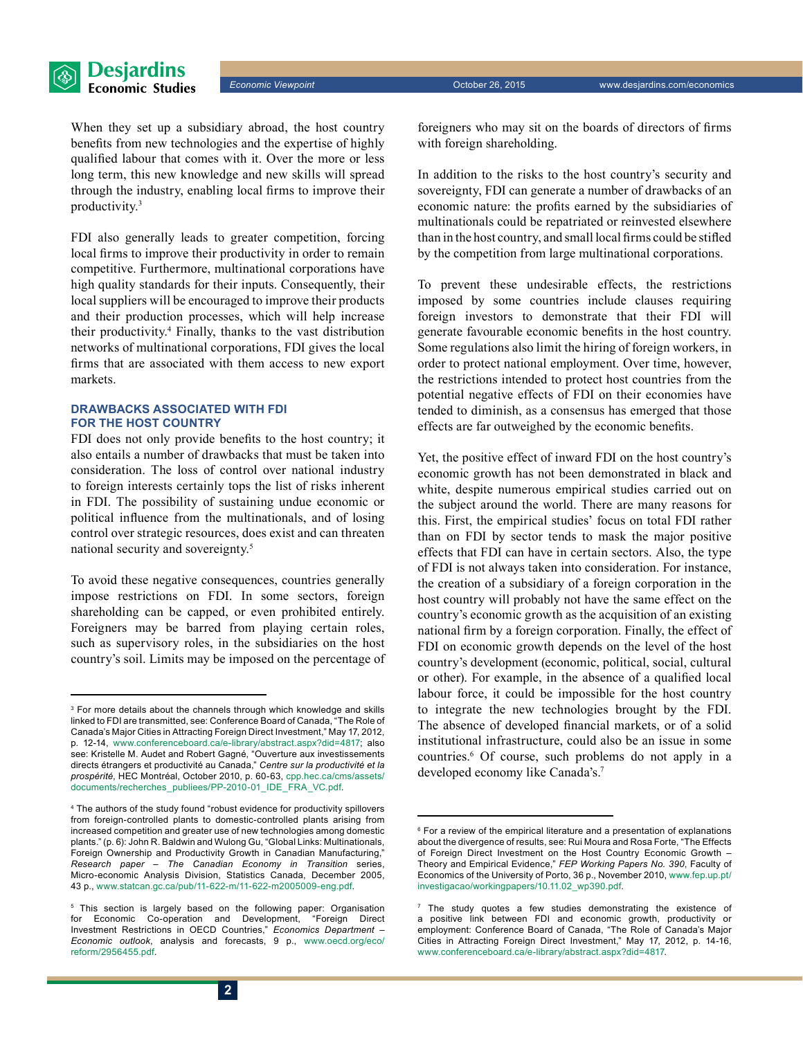When they set up a subsidiary abroad, the host country benefits from new technologies and the expertise of highly qualified labour that comes with it. Over the more or less long term, this new knowledge and new skills will spread through the industry, enabling local firms to improve their productivity.<sup>3</sup>

FDI also generally leads to greater competition, forcing local firms to improve their productivity in order to remain competitive. Furthermore, multinational corporations have high quality standards for their inputs. Consequently, their local suppliers will be encouraged to improve their products and their production processes, which will help increase their productivity.<sup>4</sup> Finally, thanks to the vast distribution networks of multinational corporations, FDI gives the local firms that are associated with them access to new export markets.

#### **Drawbacks associated with FDI for the host country**

FDI does not only provide benefits to the host country; it also entails a number of drawbacks that must be taken into consideration. The loss of control over national industry to foreign interests certainly tops the list of risks inherent in FDI. The possibility of sustaining undue economic or political influence from the multinationals, and of losing control over strategic resources, does exist and can threaten national security and sovereignty.<sup>5</sup>

To avoid these negative consequences, countries generally impose restrictions on FDI. In some sectors, foreign shareholding can be capped, or even prohibited entirely. Foreigners may be barred from playing certain roles, such as supervisory roles, in the subsidiaries on the host country's soil. Limits may be imposed on the percentage of

**2**

foreigners who may sit on the boards of directors of firms with foreign shareholding.

In addition to the risks to the host country's security and sovereignty, FDI can generate a number of drawbacks of an economic nature: the profits earned by the subsidiaries of multinationals could be repatriated or reinvested elsewhere than in the host country, and small local firms could be stifled by the competition from large multinational corporations.

To prevent these undesirable effects, the restrictions imposed by some countries include clauses requiring foreign investors to demonstrate that their FDI will generate favourable economic benefits in the host country. Some regulations also limit the hiring of foreign workers, in order to protect national employment. Over time, however, the restrictions intended to protect host countries from the potential negative effects of FDI on their economies have tended to diminish, as a consensus has emerged that those effects are far outweighed by the economic benefits.

Yet, the positive effect of inward FDI on the host country's economic growth has not been demonstrated in black and white, despite numerous empirical studies carried out on the subject around the world. There are many reasons for this. First, the empirical studies' focus on total FDI rather than on FDI by sector tends to mask the major positive effects that FDI can have in certain sectors. Also, the type of FDI is not always taken into consideration. For instance, the creation of a subsidiary of a foreign corporation in the host country will probably not have the same effect on the country's economic growth as the acquisition of an existing national firm by a foreign corporation. Finally, the effect of FDI on economic growth depends on the level of the host country's development (economic, political, social, cultural or other). For example, in the absence of a qualified local labour force, it could be impossible for the host country to integrate the new technologies brought by the FDI. The absence of developed financial markets, or of a solid institutional infrastructure, could also be an issue in some countries.<sup>6</sup> Of course, such problems do not apply in a developed economy like Canada's.<sup>7</sup>

<sup>3</sup> For more details about the channels through which knowledge and skills linked to FDI are transmitted, see: Conference Board of Canada, "The Role of Canada's Major Cities in Attracting Foreign Direct Investment," May 17, 2012, p. 12-14, [www.conferenceboard.ca/e-library/abstract.aspx?did=4817;](http://www.conferenceboard.ca/e-library/abstract.aspx?did=4817) also see: Kristelle M. Audet and Robert Gagné, "Ouverture aux investissements directs étrangers et productivité au Canada," *Centre sur la productivité et la prospérité*, HEC Montréal, October 2010, p. 60-63, [cpp.hec.ca/cms/assets/](http://cpp.hec.ca/cms/assets/documents/recherches_publiees/PP-2010-01_IDE_FRA_VC.pdf) [documents/recherches\\_publiees/PP-2010-01\\_IDE\\_FRA\\_VC.pdf](http://cpp.hec.ca/cms/assets/documents/recherches_publiees/PP-2010-01_IDE_FRA_VC.pdf).

<sup>4</sup> The authors of the study found "robust evidence for productivity spillovers from foreign-controlled plants to domestic-controlled plants arising from increased competition and greater use of new technologies among domestic plants." (p. 6): John R. Baldwin and Wulong Gu, "Global Links: Multinationals, Foreign Ownership and Productivity Growth in Canadian Manufacturing," *Research paper – The Canadian Economy in Transition* series, Micro-economic Analysis Division, Statistics Canada, December 2005, 43 p., [www.statcan.gc.ca/pub/11-622-m/11-622-m2005009-eng.pdf.](http://www.statcan.gc.ca/pub/11-622-m/11-622-m2005009-eng.pdf)

<sup>5</sup> This section is largely based on the following paper: Organisation for Economic Co-operation and Development, "Foreign Direct Investment Restrictions in OECD Countries," *Economics Department – Economic outlook*, analysis and forecasts, 9 p., [www.oecd.org/eco/](http://www.oecd.org/eco/reform/2956455.pdf) [reform/2956455.pdf.](http://www.oecd.org/eco/reform/2956455.pdf)

<sup>6</sup> For a review of the empirical literature and a presentation of explanations about the divergence of results, see: Rui Moura and Rosa Forte, "The Effects of Foreign Direct Investment on the Host Country Economic Growth – Theory and Empirical Evidence," *FEP Working Papers No. 390*, Faculty of Economics of the University of Porto, 36 p., November 2010, [www.fep.up.pt/](http://www.fep.up.pt/investigacao/workingpapers/10.11.02_wp390.pdf) [investigacao/workingpapers/10.11.02\\_wp390.pdf.](http://www.fep.up.pt/investigacao/workingpapers/10.11.02_wp390.pdf)

<sup>7</sup> The study quotes a few studies demonstrating the existence of a positive link between FDI and economic growth, productivity or employment: Conference Board of Canada, "The Role of Canada's Major Cities in Attracting Foreign Direct Investment," May 17, 2012, p. 14-16, [www.conferenceboard.ca/e-library/abstract.aspx?did=4817.](http://www.conferenceboard.ca/e-library/abstract.aspx?did=4817)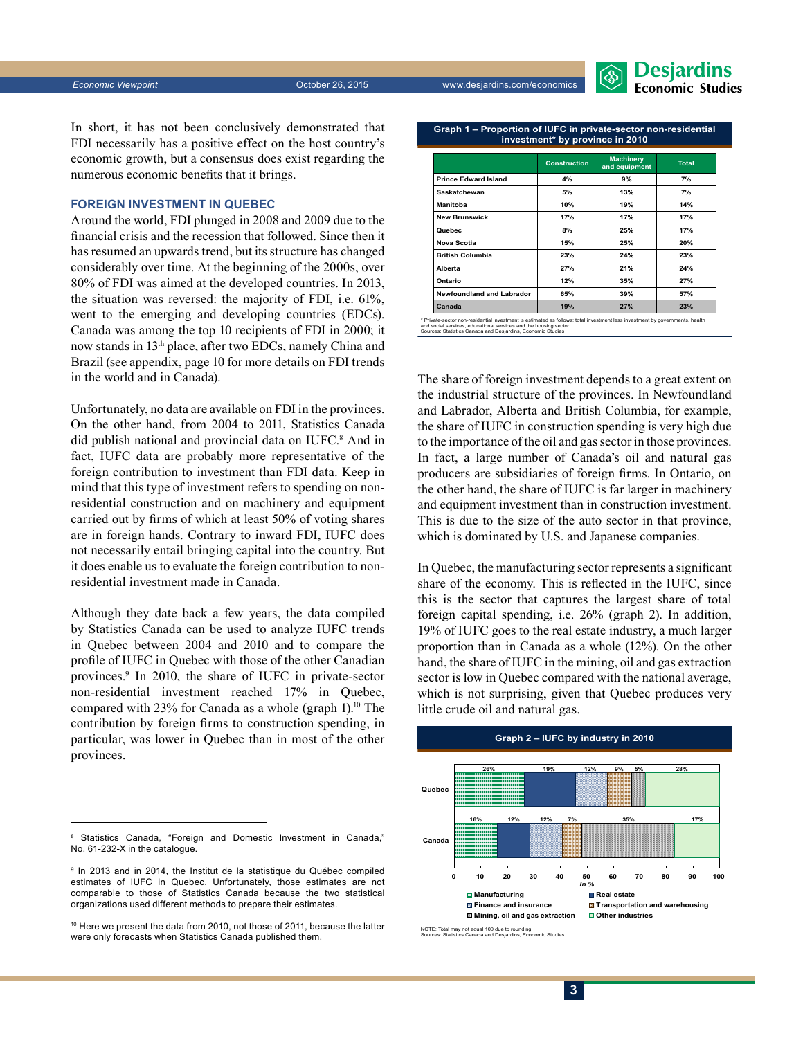

In short, it has not been conclusively demonstrated that FDI necessarily has a positive effect on the host country's economic growth, but a consensus does exist regarding the numerous economic benefits that it brings.

#### **Foreign investment in Quebec**

Around the world, FDI plunged in 2008 and 2009 due to the financial crisis and the recession that followed. Since then it has resumed an upwards trend, but its structure has changed considerably over time. At the beginning of the 2000s, over 80% of FDI was aimed at the developed countries. In 2013, the situation was reversed: the majority of FDI, i.e. 61%, went to the emerging and developing countries (EDCs). Canada was among the top 10 recipients of FDI in 2000; it now stands in 13th place, after two EDCs, namely China and Brazil (see appendix, page 10 for more details on FDI trends in the world and in Canada).

Unfortunately, no data are available on FDI in the provinces. On the other hand, from 2004 to 2011, Statistics Canada did publish national and provincial data on IUFC.<sup>8</sup> And in fact, IUFC data are probably more representative of the foreign contribution to investment than FDI data. Keep in mind that this type of investment refers to spending on nonresidential construction and on machinery and equipment carried out by firms of which at least 50% of voting shares are in foreign hands. Contrary to inward FDI, IUFC does not necessarily entail bringing capital into the country. But it does enable us to evaluate the foreign contribution to nonresidential investment made in Canada.

Although they date back a few years, the data compiled by Statistics Canada can be used to analyze IUFC trends in Quebec between 2004 and 2010 and to compare the profile of IUFC in Quebec with those of the other Canadian provinces.9 In 2010, the share of IUFC in private-sector non-residential investment reached 17% in Quebec, compared with 23% for Canada as a whole (graph 1).<sup>10</sup> The contribution by foreign firms to construction spending, in particular, was lower in Quebec than in most of the other provinces.

**Graph 1 – Proportion of IUFC in private-sector non-residential investment\* by province in 2010**

|                             | <b>Construction</b> | <b>Machinery</b><br>and equipment | <b>Total</b> |
|-----------------------------|---------------------|-----------------------------------|--------------|
| <b>Prince Edward Island</b> | 4%                  | 9%                                | 7%           |
| Saskatchewan                | 5%                  | 13%                               | 7%           |
| <b>Manitoba</b>             | 10%                 | 19%                               | 14%          |
| <b>New Brunswick</b>        | 17%                 | 17%                               | 17%          |
| Quebec                      | 8%                  | 25%                               | 17%          |
| Nova Scotia                 | 15%                 | 25%                               | 20%          |
| <b>British Columbia</b>     | 23%                 | 24%                               | 23%          |
| Alberta                     | 27%                 | 21%                               | 24%          |
| Ontario                     | 12%                 | 35%                               | 27%          |
| Newfoundland and Labrador   | 65%                 | 39%                               | 57%          |
| Canada                      | 19%                 | 27%                               | 23%          |

and social services, educational services and the housing sector. Sources: Statistics Canada and Desjardins, Economic Studies

The share of foreign investment depends to a great extent on the industrial structure of the provinces. In Newfoundland and Labrador, Alberta and British Columbia, for example, the share of IUFC in construction spending is very high due to the importance of the oil and gas sector in those provinces. In fact, a large number of Canada's oil and natural gas producers are subsidiaries of foreign firms. In Ontario, on the other hand, the share of IUFC is far larger in machinery and equipment investment than in construction investment. This is due to the size of the auto sector in that province, which is dominated by U.S. and Japanese companies.

In Quebec, the manufacturing sector represents a significant share of the economy. This is reflected in the IUFC, since this is the sector that captures the largest share of total foreign capital spending, i.e. 26% (graph 2). In addition, 19% of IUFC goes to the real estate industry, a much larger proportion than in Canada as a whole (12%). On the other hand, the share of IUFC in the mining, oil and gas extraction sector is low in Quebec compared with the national average, which is not surprising, given that Quebec produces very little crude oil and natural gas.



<sup>8</sup> Statistics Canada, "Foreign and Domestic Investment in Canada," No. 61-232-X in the catalogue.

<sup>9</sup> In 2013 and in 2014, the Institut de la statistique du Québec compiled estimates of IUFC in Quebec. Unfortunately, those estimates are not comparable to those of Statistics Canada because the two statistical organizations used different methods to prepare their estimates.

<sup>&</sup>lt;sup>10</sup> Here we present the data from 2010, not those of 2011, because the latter were only forecasts when Statistics Canada published them.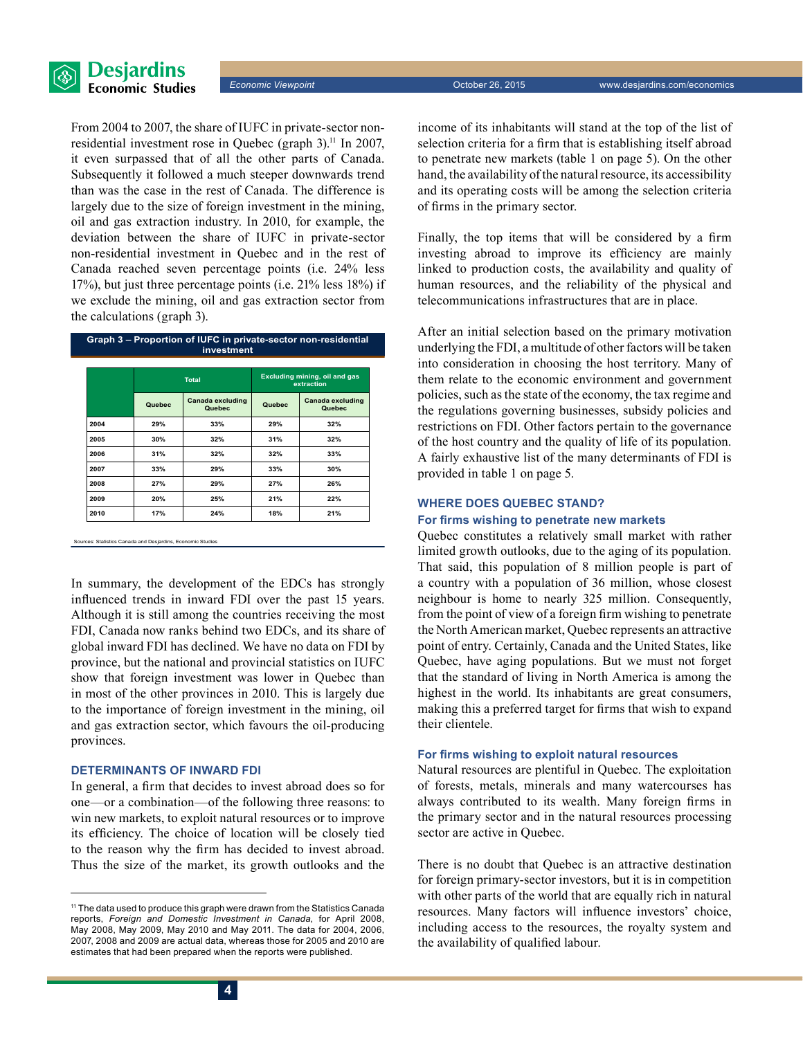

*Economic Viewpoint* October 26, 2015 www.desjardins.com/economics

From 2004 to 2007, the share of IUFC in private-sector nonresidential investment rose in Quebec (graph 3).<sup>11</sup> In 2007, it even surpassed that of all the other parts of Canada. Subsequently it followed a much steeper downwards trend than was the case in the rest of Canada. The difference is largely due to the size of foreign investment in the mining, oil and gas extraction industry. In 2010, for example, the deviation between the share of IUFC in private-sector non‑residential investment in Quebec and in the rest of Canada reached seven percentage points (i.e. 24% less 17%), but just three percentage points (i.e. 21% less 18%) if we exclude the mining, oil and gas extraction sector from the calculations (graph 3).

| Graph 3 – Proportion of IUFC in private-sector non-residential<br>investment |              |                            |                                             |                            |  |  |
|------------------------------------------------------------------------------|--------------|----------------------------|---------------------------------------------|----------------------------|--|--|
|                                                                              | <b>Total</b> |                            | Excluding mining, oil and gas<br>extraction |                            |  |  |
|                                                                              | Quebec       | Canada excluding<br>Quebec | Quebec                                      | Canada excluding<br>Quebec |  |  |
| 2004                                                                         | 29%          | 33%                        | 29%                                         | 32%                        |  |  |
| 2005                                                                         | 30%          | 32%                        | 31%                                         | 32%                        |  |  |
| 2006                                                                         | 31%          | 32%                        | 32%                                         | 33%                        |  |  |
| 2007                                                                         | 33%          | 29%                        | 33%                                         | 30%                        |  |  |
| 2008                                                                         | 27%          | 29%                        | 27%                                         | 26%                        |  |  |
| 2009                                                                         | 20%          | 25%                        | 21%                                         | 22%                        |  |  |
| 2010                                                                         | 17%          | 24%                        | 18%                                         | 21%                        |  |  |

s: Statistics Canada and Desiardins, Econo

In summary, the development of the EDCs has strongly influenced trends in inward FDI over the past 15 years. Although it is still among the countries receiving the most FDI, Canada now ranks behind two EDCs, and its share of global inward FDI has declined. We have no data on FDI by province, but the national and provincial statistics on IUFC show that foreign investment was lower in Quebec than in most of the other provinces in 2010. This is largely due to the importance of foreign investment in the mining, oil and gas extraction sector, which favours the oil-producing provinces.

#### **Determinants of inward FDI**

In general, a firm that decides to invest abroad does so for one—or a combination—of the following three reasons: to win new markets, to exploit natural resources or to improve its efficiency. The choice of location will be closely tied to the reason why the firm has decided to invest abroad. Thus the size of the market, its growth outlooks and the income of its inhabitants will stand at the top of the list of selection criteria for a firm that is establishing itself abroad to penetrate new markets (table 1 on page 5). On the other hand, the availability of the natural resource, its accessibility and its operating costs will be among the selection criteria of firms in the primary sector.

Finally, the top items that will be considered by a firm investing abroad to improve its efficiency are mainly linked to production costs, the availability and quality of human resources, and the reliability of the physical and telecommunications infrastructures that are in place.

After an initial selection based on the primary motivation underlying the FDI, a multitude of other factors will be taken into consideration in choosing the host territory. Many of them relate to the economic environment and government policies, such as the state of the economy, the tax regime and the regulations governing businesses, subsidy policies and restrictions on FDI. Other factors pertain to the governance of the host country and the quality of life of its population. A fairly exhaustive list of the many determinants of FDI is provided in table 1 on page 5.

#### **Where does Quebec stand?**

#### **For firms wishing to penetrate new markets**

Quebec constitutes a relatively small market with rather limited growth outlooks, due to the aging of its population. That said, this population of 8 million people is part of a country with a population of 36 million, whose closest neighbour is home to nearly 325 million. Consequently, from the point of view of a foreign firm wishing to penetrate the North American market, Quebec represents an attractive point of entry. Certainly, Canada and the United States, like Quebec, have aging populations. But we must not forget that the standard of living in North America is among the highest in the world. Its inhabitants are great consumers, making this a preferred target for firms that wish to expand their clientele.

#### **For firms wishing to exploit natural resources**

Natural resources are plentiful in Quebec. The exploitation of forests, metals, minerals and many watercourses has always contributed to its wealth. Many foreign firms in the primary sector and in the natural resources processing sector are active in Quebec.

There is no doubt that Quebec is an attractive destination for foreign primary-sector investors, but it is in competition with other parts of the world that are equally rich in natural resources. Many factors will influence investors' choice, including access to the resources, the royalty system and the availability of qualified labour.

<sup>&</sup>lt;sup>11</sup> The data used to produce this graph were drawn from the Statistics Canada reports, *Foreign and Domestic Investment in Canada*, for April 2008, May 2008, May 2009, May 2010 and May 2011. The data for 2004, 2006, 2007, 2008 and 2009 are actual data, whereas those for 2005 and 2010 are estimates that had been prepared when the reports were published.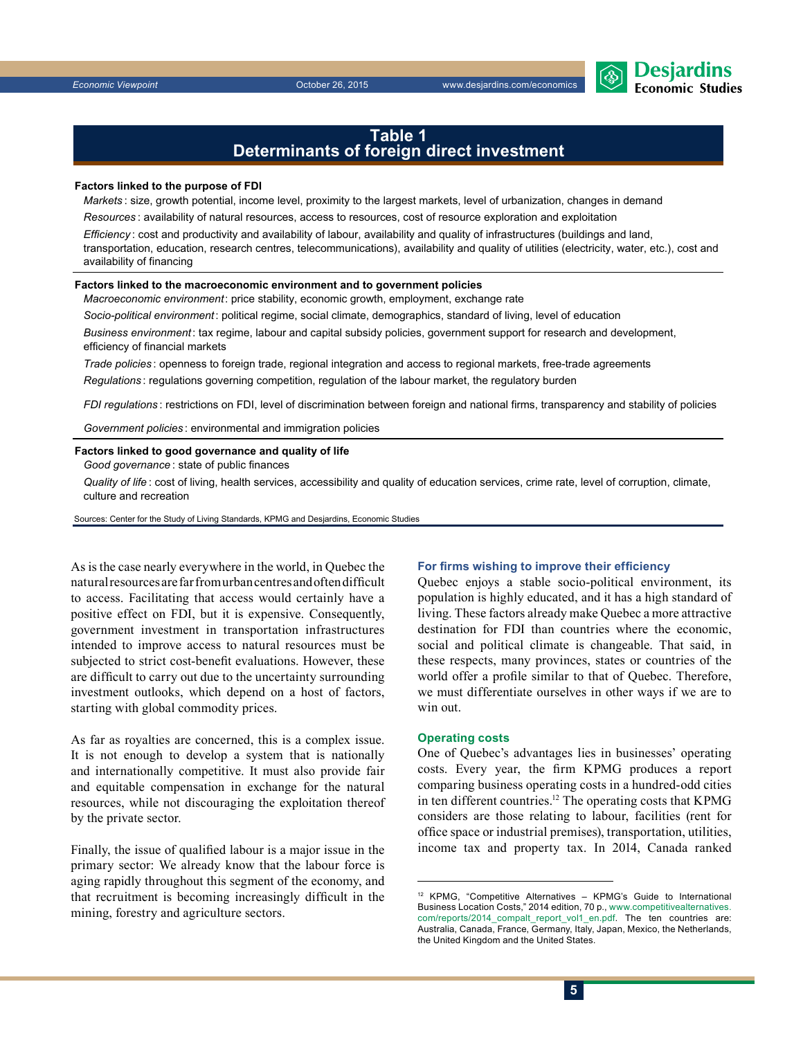

#### **Table 1 Determinants of foreign direct investment**

#### **Factors linked to the purpose of FDI**

*Markets* : size, growth potential, income level, proximity to the largest markets, level of urbanization, changes in demand *Resources* : availability of natural resources, access to resources, cost of resource exploration and exploitation

*Efficiency* : cost and productivity and availability of labour, availability and quality of infrastructures (buildings and land, transportation, education, research centres, telecommunications), availability and quality of utilities (electricity, water, etc.), cost and availability of financing

#### **Factors linked to the macroeconomic environment and to government policies**

*Macroeconomic environment*: price stability, economic growth, employment, exchange rate

*Socio-political environment*: political regime, social climate, demographics, standard of living, level of education

*Business environment*: tax regime, labour and capital subsidy policies, government support for research and development, efficiency of financial markets

*Trade policies* : openness to foreign trade, regional integration and access to regional markets, free-trade agreements *Regulations* : regulations governing competition, regulation of the labour market, the regulatory burden

*FDI regulations* : restrictions on FDI, level of discrimination between foreign and national firms, transparency and stability of policies

*Government policies* : environmental and immigration policies

#### **Factors linked to good governance and quality of life**

*Good governance* : state of public finances

*Quality of life* : cost of living, health services, accessibility and quality of education services, crime rate, level of corruption, climate, culture and recreation

Sources: Center for the Study of Living Standards, KPMG and Desjardins, Economic Studies

As is the case nearly everywhere in the world, in Quebec the natural resources are far from urban centres and often difficult to access. Facilitating that access would certainly have a positive effect on FDI, but it is expensive. Consequently, government investment in transportation infrastructures intended to improve access to natural resources must be subjected to strict cost-benefit evaluations. However, these are difficult to carry out due to the uncertainty surrounding investment outlooks, which depend on a host of factors, starting with global commodity prices.

As far as royalties are concerned, this is a complex issue. It is not enough to develop a system that is nationally and internationally competitive. It must also provide fair and equitable compensation in exchange for the natural resources, while not discouraging the exploitation thereof by the private sector.

Finally, the issue of qualified labour is a major issue in the primary sector: We already know that the labour force is aging rapidly throughout this segment of the economy, and that recruitment is becoming increasingly difficult in the mining, forestry and agriculture sectors.

#### **For firms wishing to improve their efficiency**

Quebec enjoys a stable socio-political environment, its population is highly educated, and it has a high standard of living. These factors already make Quebec a more attractive destination for FDI than countries where the economic, social and political climate is changeable. That said, in these respects, many provinces, states or countries of the world offer a profile similar to that of Quebec. Therefore, we must differentiate ourselves in other ways if we are to win out.

#### **Operating costs**

One of Quebec's advantages lies in businesses' operating costs. Every year, the firm KPMG produces a report comparing business operating costs in a hundred-odd cities in ten different countries.12 The operating costs that KPMG considers are those relating to labour, facilities (rent for office space or industrial premises), transportation, utilities, income tax and property tax. In 2014, Canada ranked

<sup>12</sup> KPMG, "Competitive Alternatives – KPMG's Guide to International Business Location Costs," 2014 edition, 70 p., [www.competitivealternatives.](http://www.competitivealternatives.com/reports/2014_compalt_report_vol1_en.pdf) [com/reports/2014\\_compalt\\_report\\_vol1\\_en.pdf](http://www.competitivealternatives.com/reports/2014_compalt_report_vol1_en.pdf). The ten countries are: Australia, Canada, France, Germany, Italy, Japan, Mexico, the Netherlands, the United Kingdom and the United States.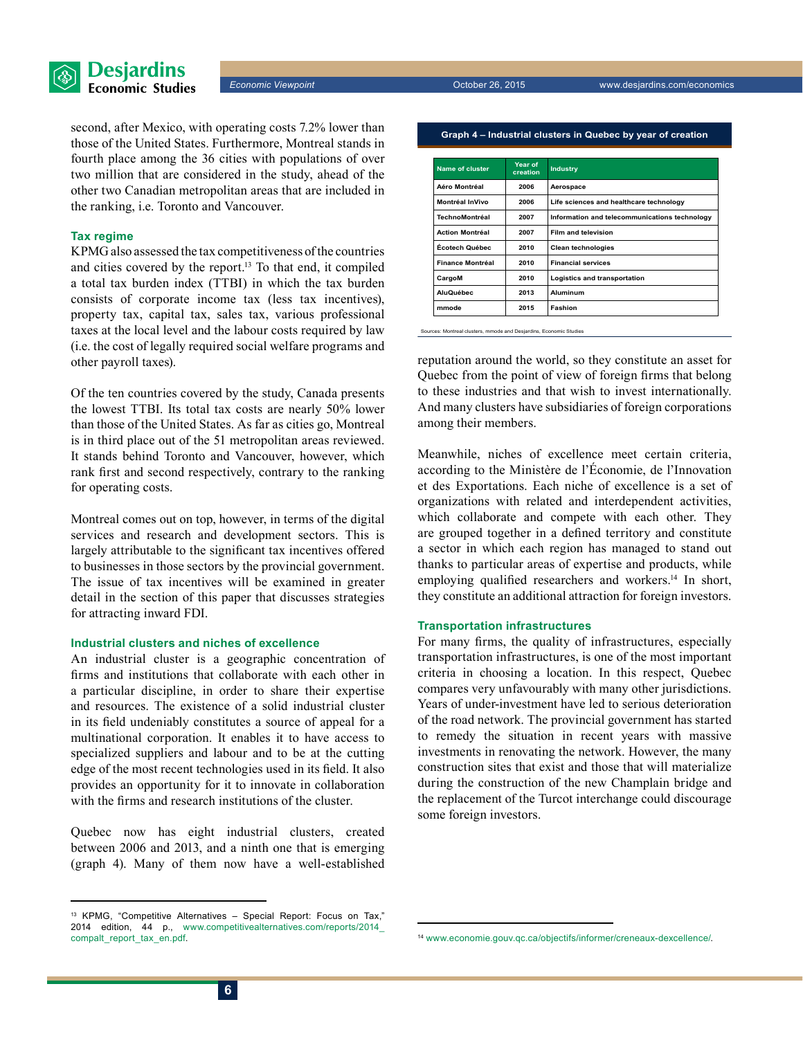



second, after Mexico, with operating costs 7.2% lower than those of the United States. Furthermore, Montreal stands in fourth place among the 36 cities with populations of over two million that are considered in the study, ahead of the other two Canadian metropolitan areas that are included in the ranking, i.e. Toronto and Vancouver.

#### **Tax regime**

KPMG also assessed the tax competitiveness of the countries and cities covered by the report.13 To that end, it compiled a total tax burden index (TTBI) in which the tax burden consists of corporate income tax (less tax incentives), property tax, capital tax, sales tax, various professional taxes at the local level and the labour costs required by law (i.e. the cost of legally required social welfare programs and other payroll taxes).

Of the ten countries covered by the study, Canada presents the lowest TTBI. Its total tax costs are nearly 50% lower than those of the United States. As far as cities go, Montreal is in third place out of the 51 metropolitan areas reviewed. It stands behind Toronto and Vancouver, however, which rank first and second respectively, contrary to the ranking for operating costs.

Montreal comes out on top, however, in terms of the digital services and research and development sectors. This is largely attributable to the significant tax incentives offered to businesses in those sectors by the provincial government. The issue of tax incentives will be examined in greater detail in the section of this paper that discusses strategies for attracting inward FDI.

#### **Industrial clusters and niches of excellence**

An industrial cluster is a geographic concentration of firms and institutions that collaborate with each other in a particular discipline, in order to share their expertise and resources. The existence of a solid industrial cluster in its field undeniably constitutes a source of appeal for a multinational corporation. It enables it to have access to specialized suppliers and labour and to be at the cutting edge of the most recent technologies used in its field. It also provides an opportunity for it to innovate in collaboration with the firms and research institutions of the cluster.

Quebec now has eight industrial clusters, created between 2006 and 2013, and a ninth one that is emerging (graph 4). Many of them now have a well-established

**Graph 4 – Industrial clusters in Quebec by year of creation**

| Name of cluster         | Year of<br>creation | <b>Industry</b>                               |
|-------------------------|---------------------|-----------------------------------------------|
| Aéro Montréal           | 2006                | Aerospace                                     |
| Montréal InVivo         | 2006                | Life sciences and healthcare technology       |
| TechnoMontréal          | 2007                | Information and telecommunications technology |
| <b>Action Montréal</b>  | 2007                | <b>Film and television</b>                    |
| Écotech Québec          | 2010                | <b>Clean technologies</b>                     |
| <b>Finance Montréal</b> | 2010                | <b>Financial services</b>                     |
| CargoM                  | 2010                | Logistics and transportation                  |
| <b>AluQuébec</b>        | 2013                | Aluminum                                      |
| mmode                   | 2015                | Fashion                                       |

Sources: Montreal clusters, mmode and Desjardins, Economic Studies

reputation around the world, so they constitute an asset for Quebec from the point of view of foreign firms that belong to these industries and that wish to invest internationally. And many clusters have subsidiaries of foreign corporations among their members.

Meanwhile, niches of excellence meet certain criteria, according to the Ministère de l'Économie, de l'Innovation et des Exportations. Each niche of excellence is a set of organizations with related and interdependent activities, which collaborate and compete with each other. They are grouped together in a defined territory and constitute a sector in which each region has managed to stand out thanks to particular areas of expertise and products, while employing qualified researchers and workers.<sup>14</sup> In short, they constitute an additional attraction for foreign investors.

#### **Transportation infrastructures**

For many firms, the quality of infrastructures, especially transportation infrastructures, is one of the most important criteria in choosing a location. In this respect, Quebec compares very unfavourably with many other jurisdictions. Years of under-investment have led to serious deterioration of the road network. The provincial government has started to remedy the situation in recent years with massive investments in renovating the network. However, the many construction sites that exist and those that will materialize during the construction of the new Champlain bridge and the replacement of the Turcot interchange could discourage some foreign investors.

<sup>13</sup> KPMG, "Competitive Alternatives – Special Report: Focus on Tax," 2014 edition, 44 p., [www.competitivealternatives.com/reports/2014\\_](http://www.competitivealternatives.com/reports/2014_compalt_report_tax_en.pdf) [compalt\\_report\\_tax\\_en.pdf](http://www.competitivealternatives.com/reports/2014_compalt_report_tax_en.pdf). <sup>14</sup> [www.economie.gouv.qc.ca/objectifs/informer/creneaux-dexcellence/.](http://www.economie.gouv.qc.ca/objectifs/informer/creneaux-dexcellence/)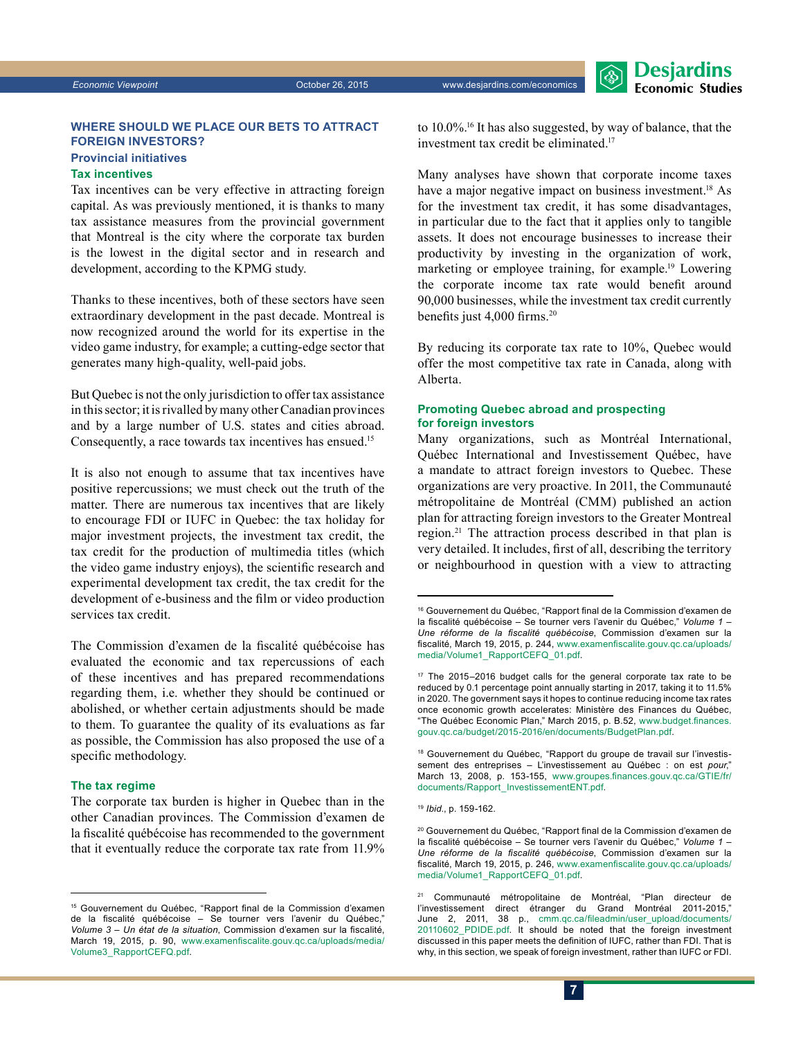*Economic Viewpoint* October 26, 2015 www.desjardins.com/economics



#### **Where should we place our bets to attract foreign investors?**

#### **Provincial initiatives**

#### **Tax incentives**

Tax incentives can be very effective in attracting foreign capital. As was previously mentioned, it is thanks to many tax assistance measures from the provincial government that Montreal is the city where the corporate tax burden is the lowest in the digital sector and in research and development, according to the KPMG study.

Thanks to these incentives, both of these sectors have seen extraordinary development in the past decade. Montreal is now recognized around the world for its expertise in the video game industry, for example; a cutting-edge sector that generates many high-quality, well-paid jobs.

But Quebec is not the only jurisdiction to offer tax assistance in this sector; it is rivalled by many other Canadian provinces and by a large number of U.S. states and cities abroad. Consequently, a race towards tax incentives has ensued.15

It is also not enough to assume that tax incentives have positive repercussions; we must check out the truth of the matter. There are numerous tax incentives that are likely to encourage FDI or IUFC in Quebec: the tax holiday for major investment projects, the investment tax credit, the tax credit for the production of multimedia titles (which the video game industry enjoys), the scientific research and experimental development tax credit, the tax credit for the development of e-business and the film or video production services tax credit.

The Commission d'examen de la fiscalité québécoise has evaluated the economic and tax repercussions of each of these incentives and has prepared recommendations regarding them, i.e. whether they should be continued or abolished, or whether certain adjustments should be made to them. To guarantee the quality of its evaluations as far as possible, the Commission has also proposed the use of a specific methodology.

#### **The tax regime**

The corporate tax burden is higher in Quebec than in the other Canadian provinces. The Commission d'examen de la fiscalité québécoise has recommended to the government that it eventually reduce the corporate tax rate from 11.9% to 10.0%.16 It has also suggested, by way of balance, that the investment tax credit be eliminated.17

Many analyses have shown that corporate income taxes have a major negative impact on business investment.<sup>18</sup> As for the investment tax credit, it has some disadvantages, in particular due to the fact that it applies only to tangible assets. It does not encourage businesses to increase their productivity by investing in the organization of work, marketing or employee training, for example.19 Lowering the corporate income tax rate would benefit around 90,000 businesses, while the investment tax credit currently benefits just 4,000 firms.<sup>20</sup>

By reducing its corporate tax rate to 10%, Quebec would offer the most competitive tax rate in Canada, along with Alberta.

#### **Promoting Quebec abroad and prospecting for foreign investors**

Many organizations, such as Montréal International, Québec International and Investissement Québec, have a mandate to attract foreign investors to Quebec. These organizations are very proactive. In 2011, the Communauté métropolitaine de Montréal (CMM) published an action plan for attracting foreign investors to the Greater Montreal region.21 The attraction process described in that plan is very detailed. It includes, first of all, describing the territory or neighbourhood in question with a view to attracting

<sup>&</sup>lt;sup>15</sup> Gouvernement du Québec, "Rapport final de la Commission d'examen de la fiscalité québécoise – Se tourner vers l'avenir du Québec," *Volume 3 – Un état de la situation*, Commission d'examen sur la fiscalité, March 19, 2015, p. 90, [www.examenfiscalite.gouv.qc.ca/uploads/media/](http://www.examenfiscalite.gouv.qc.ca/uploads/media/Volume3_RapportCEFQ.pdf) [Volume3\\_RapportCEFQ.pdf](http://www.examenfiscalite.gouv.qc.ca/uploads/media/Volume3_RapportCEFQ.pdf).

<sup>16</sup> Gouvernement du Québec, "Rapport final de la Commission d'examen de la fiscalité québécoise – Se tourner vers l'avenir du Québec," *Volume 1 – Une réforme de la fiscalité québécoise*, Commission d'examen sur la fiscalité, March 19, 2015, p. 244, [www.examenfiscalite.gouv.qc.ca/uploads/](http://www.examenfiscalite.gouv.qc.ca/uploads/media/Volume1_RapportCEFQ_01.pdf) [media/Volume1\\_RapportCEFQ\\_01.pdf](http://www.examenfiscalite.gouv.qc.ca/uploads/media/Volume1_RapportCEFQ_01.pdf).

<sup>17</sup> The 2015–2016 budget calls for the general corporate tax rate to be reduced by 0.1 percentage point annually starting in 2017, taking it to 11.5% in 2020. The government says it hopes to continue reducing income tax rates once economic growth accelerates: Ministère des Finances du Québec, "The Québec Economic Plan," March 2015, p. B.52, [www.budget.finances.](http://www.budget.finances.gouv.qc.ca/budget/2015-2016/en/documents/BudgetPlan.pdf) [gouv.qc.ca/budget/2015-2016/en/documents/BudgetPlan.pdf](http://www.budget.finances.gouv.qc.ca/budget/2015-2016/en/documents/BudgetPlan.pdf).

<sup>&</sup>lt;sup>18</sup> Gouvernement du Québec, "Rapport du groupe de travail sur l'investissement des entreprises – L'investissement au Québec : on est *pour*," March 13, 2008, p. 153-155, [www.groupes.finances.gouv.qc.ca/GTIE/fr/](http://www.groupes.finances.gouv.qc.ca/GTIE/fr/documents/Rapport_InvestissementENT.pdf) [documents/Rapport\\_InvestissementENT.pdf](http://www.groupes.finances.gouv.qc.ca/GTIE/fr/documents/Rapport_InvestissementENT.pdf).

<sup>19</sup> *Ibid*., p. 159-162.

<sup>&</sup>lt;sup>20</sup> Gouvernement du Québec, "Rapport final de la Commission d'examen de la fiscalité québécoise – Se tourner vers l'avenir du Québec," *Volume 1 – Une réforme de la fiscalité québécoise*, Commission d'examen sur la fiscalité, March 19, 2015, p. 246, [www.examenfiscalite.gouv.qc.ca/uploads/](http://www.examenfiscalite.gouv.qc.ca/uploads/media/Volume1_RapportCEFQ_01.pdf) [media/Volume1\\_RapportCEFQ\\_01.pdf](http://www.examenfiscalite.gouv.qc.ca/uploads/media/Volume1_RapportCEFQ_01.pdf).

<sup>&</sup>lt;sup>21</sup> Communauté métropolitaine de Montréal, "Plan directeur de l'investissement direct étranger du Grand Montréal 2011-2015," June 2, 2011, 38 p., [cmm.qc.ca/fileadmin/user\\_upload/documents/](http://cmm.qc.ca/fileadmin/user_upload/documents/20110602_PDIDE.pdf)  [20110602\\_PDIDE.pdf](http://cmm.qc.ca/fileadmin/user_upload/documents/20110602_PDIDE.pdf). It should be noted that the foreign investment discussed in this paper meets the definition of IUFC, rather than FDI. That is why, in this section, we speak of foreign investment, rather than IUFC or FDI.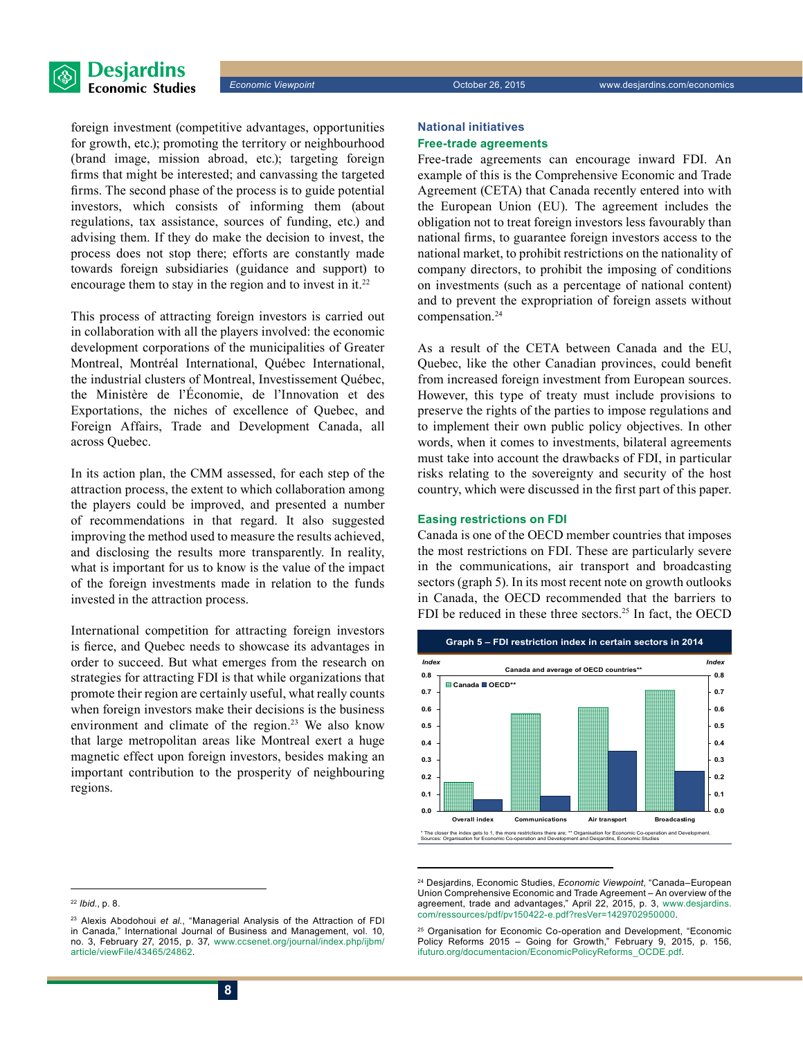

foreign investment (competitive advantages, opportunities for growth, etc.); promoting the territory or neighbourhood (brand image, mission abroad, etc.); targeting foreign firms that might be interested; and canvassing the targeted firms. The second phase of the process is to guide potential investors, which consists of informing them (about regulations, tax assistance, sources of funding, etc.) and advising them. If they do make the decision to invest, the process does not stop there; efforts are constantly made towards foreign subsidiaries (guidance and support) to encourage them to stay in the region and to invest in it.<sup>22</sup>

This process of attracting foreign investors is carried out in collaboration with all the players involved: the economic development corporations of the municipalities of Greater Montreal, Montréal International, Québec International, the industrial clusters of Montreal, Investissement Québec, the Ministère de l'Économie, de l'Innovation et des Exportations, the niches of excellence of Quebec, and Foreign Affairs, Trade and Development Canada, all across Quebec.

In its action plan, the CMM assessed, for each step of the attraction process, the extent to which collaboration among the players could be improved, and presented a number of recommendations in that regard. It also suggested improving the method used to measure the results achieved, and disclosing the results more transparently. In reality, what is important for us to know is the value of the impact of the foreign investments made in relation to the funds invested in the attraction process.

International competition for attracting foreign investors is fierce, and Quebec needs to showcase its advantages in order to succeed. But what emerges from the research on strategies for attracting FDI is that while organizations that promote their region are certainly useful, what really counts when foreign investors make their decisions is the business environment and climate of the region.<sup>23</sup> We also know that large metropolitan areas like Montreal exert a huge magnetic effect upon foreign investors, besides making an important contribution to the prosperity of neighbouring regions.

#### **National initiatives Free-trade agreements**

Free-trade agreements can encourage inward FDI. An example of this is the Comprehensive Economic and Trade Agreement (CETA) that Canada recently entered into with the European Union (EU). The agreement includes the obligation not to treat foreign investors less favourably than national firms, to guarantee foreign investors access to the national market, to prohibit restrictions on the nationality of company directors, to prohibit the imposing of conditions on investments (such as a percentage of national content) and to prevent the expropriation of foreign assets without compensation.<sup>24</sup>

As a result of the CETA between Canada and the EU, Quebec, like the other Canadian provinces, could benefit from increased foreign investment from European sources. However, this type of treaty must include provisions to preserve the rights of the parties to impose regulations and to implement their own public policy objectives. In other words, when it comes to investments, bilateral agreements must take into account the drawbacks of FDI, in particular risks relating to the sovereignty and security of the host country, which were discussed in the first part of this paper.

#### **Easing restrictions on FDI**

Canada is one of the OECD member countries that imposes the most restrictions on FDI. These are particularly severe in the communications, air transport and broadcasting sectors (graph 5). In its most recent note on growth outlooks in Canada, the OECD recommended that the barriers to FDI be reduced in these three sectors.<sup>25</sup> In fact, the OECD



<sup>24</sup> Desjardins, Economic Studies, *Economic Viewpoint*, "Canada–European Union Comprehensive Economic and Trade Agreement – An overview of the agreement, trade and advantages," April 22, 2015, p. 3, [www.desjardins.](http://www.desjardins.com/ressources/pdf/pv150422-e.pdf?resVer=1429702950000) [com/ressources/pdf/pv150422-e.pdf?resVer=1429702950000](http://www.desjardins.com/ressources/pdf/pv150422-e.pdf?resVer=1429702950000).

<sup>22</sup> *Ibid*., p. 8.

<sup>23</sup> Alexis Abodohoui *et al.*, "Managerial Analysis of the Attraction of FDI in Canada," International Journal of Business and Management, vol. 10, no. 3, February 27, 2015, p. 37, [www.ccsenet.org/journal/index.php/ijbm/](http://www.ccsenet.org/journal/index.php/ijbm/article/viewFile/43465/24862) [article/viewFile/43465/24862.](http://www.ccsenet.org/journal/index.php/ijbm/article/viewFile/43465/24862)

<sup>&</sup>lt;sup>25</sup> Organisation for Economic Co-operation and Development, "Economic Policy Reforms 2015 – Going for Growth," February 9, 2015, p. 156, [ifuturo.org/documentacion/EconomicPolicyReforms\\_OCDE.pdf.](http://ifuturo.org/documentacion/EconomicPolicyReforms_OCDE.pdf)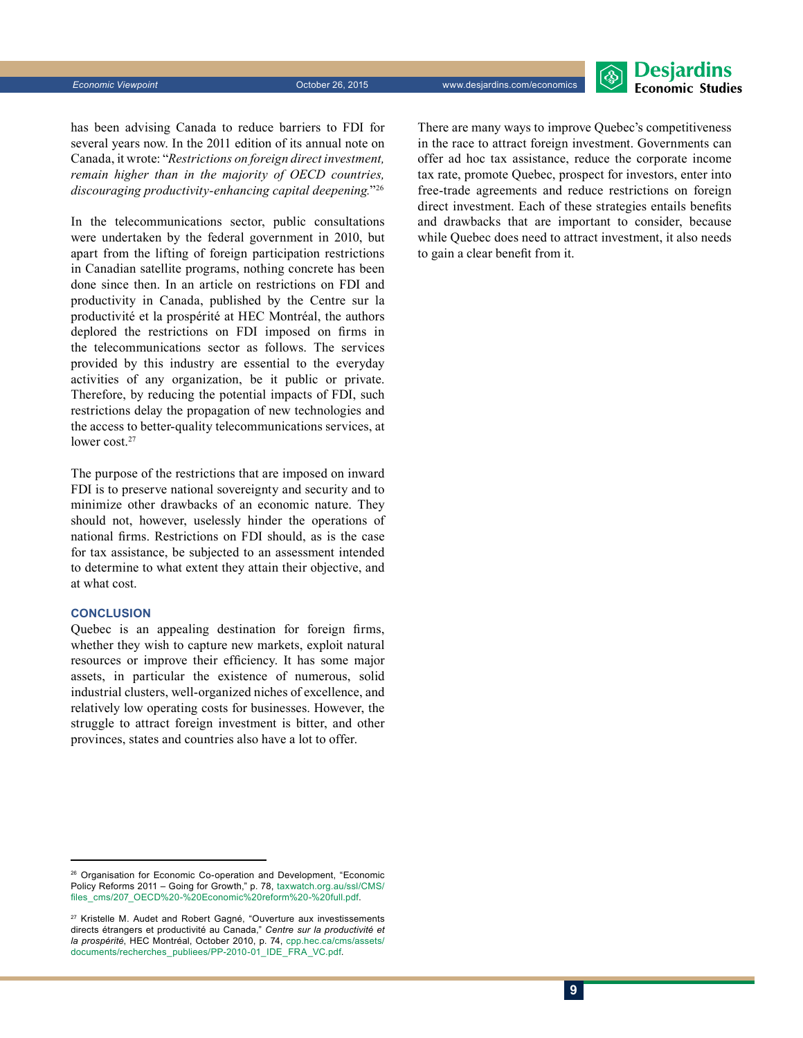has been advising Canada to reduce barriers to FDI for several years now. In the 2011 edition of its annual note on Canada, it wrote: "*Restrictions on foreign direct investment, remain higher than in the majority of OECD countries, discouraging productivity-enhancing capital deepening.*"26

In the telecommunications sector, public consultations were undertaken by the federal government in 2010, but apart from the lifting of foreign participation restrictions in Canadian satellite programs, nothing concrete has been done since then. In an article on restrictions on FDI and productivity in Canada, published by the Centre sur la productivité et la prospérité at HEC Montréal, the authors deplored the restrictions on FDI imposed on firms in the telecommunications sector as follows. The services provided by this industry are essential to the everyday activities of any organization, be it public or private. Therefore, by reducing the potential impacts of FDI, such restrictions delay the propagation of new technologies and the access to better-quality telecommunications services, at lower cost.<sup>27</sup>

The purpose of the restrictions that are imposed on inward FDI is to preserve national sovereignty and security and to minimize other drawbacks of an economic nature. They should not, however, uselessly hinder the operations of national firms. Restrictions on FDI should, as is the case for tax assistance, be subjected to an assessment intended to determine to what extent they attain their objective, and at what cost.

#### **Conclusion**

Quebec is an appealing destination for foreign firms, whether they wish to capture new markets, exploit natural resources or improve their efficiency. It has some major assets, in particular the existence of numerous, solid industrial clusters, well-organized niches of excellence, and relatively low operating costs for businesses. However, the struggle to attract foreign investment is bitter, and other provinces, states and countries also have a lot to offer.

There are many ways to improve Quebec's competitiveness in the race to attract foreign investment. Governments can offer ad hoc tax assistance, reduce the corporate income tax rate, promote Quebec, prospect for investors, enter into free-trade agreements and reduce restrictions on foreign direct investment. Each of these strategies entails benefits and drawbacks that are important to consider, because while Quebec does need to attract investment, it also needs to gain a clear benefit from it.

<sup>&</sup>lt;sup>26</sup> Organisation for Economic Co-operation and Development, "Economic Policy Reforms 2011 – Going for Growth," p. 78, [taxwatch.org.au/ssl/CMS/](http://taxwatch.org.au/ssl/CMS/files_cms/207_OECD%20-%20Economic%20reform%20-%20full.pdf) [files\\_cms/207\\_OECD%20-%20Economic%20reform%20-%20full.pdf](http://taxwatch.org.au/ssl/CMS/files_cms/207_OECD%20-%20Economic%20reform%20-%20full.pdf).

<sup>&</sup>lt;sup>27</sup> Kristelle M. Audet and Robert Gagné, "Ouverture aux investissements directs étrangers et productivité au Canada," *Centre sur la productivité et la prospérité*, HEC Montréal, October 2010, p. 74, [cpp.hec.ca/cms/assets/](http://cpp.hec.ca/cms/assets/documents/recherches_publiees/PP-2010-01_IDE_FRA_VC.pdf) [documents/recherches\\_publiees/PP-2010-01\\_IDE\\_FRA\\_VC.pdf](http://cpp.hec.ca/cms/assets/documents/recherches_publiees/PP-2010-01_IDE_FRA_VC.pdf).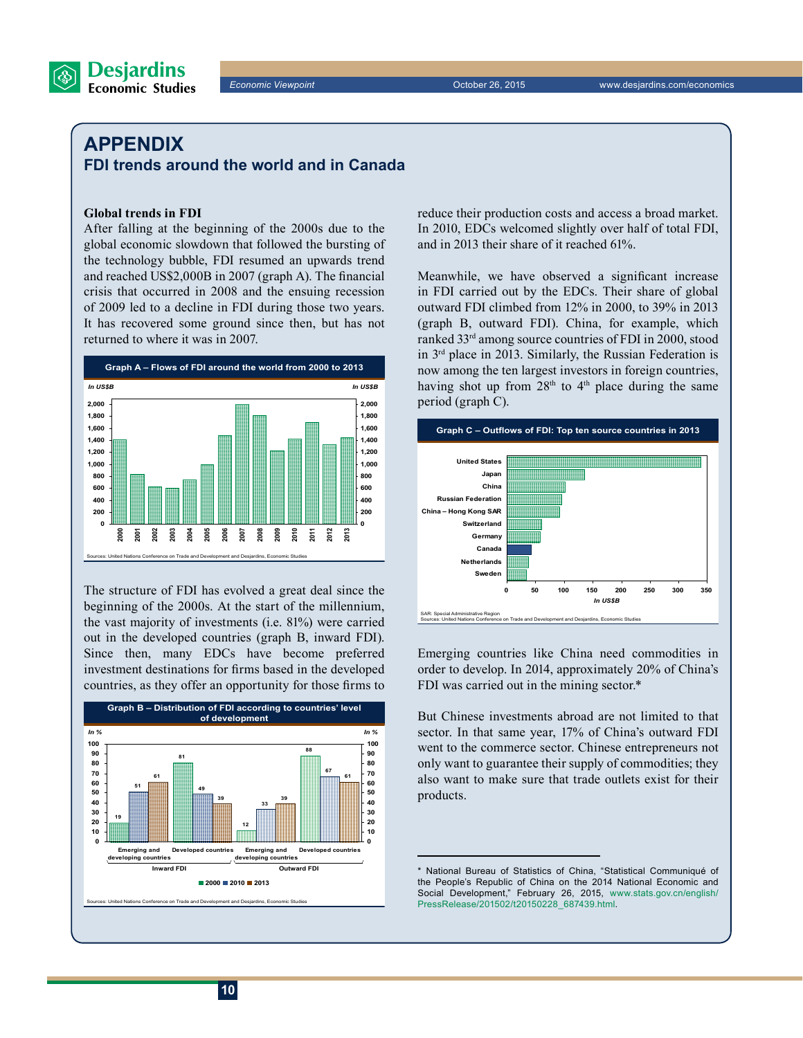only want to guarantee their supply of commodities; they also want to make sure that trade outlets exist for their products.

### **Appendix FDI trends around the world and in Canada**

#### **Global trends in FDI**

After falling at the beginning of the 2000s due to the global economic slowdown that followed the bursting of the technology bubble, FDI resumed an upwards trend and reached US\$2,000B in 2007 (graph A). The financial crisis that occurred in 2008 and the ensuing recession of 2009 led to a decline in FDI during those two years. It has recovered some ground since then, but has not returned to where it was in 2007.



The structure of FDI has evolved a great deal since the beginning of the 2000s. At the start of the millennium, the vast majority of investments (i.e. 81%) were carried out in the developed countries (graph B, inward FDI). Since then, many EDCs have become preferred investment destinations for firms based in the developed countries, as they offer an opportunity for those firms to

Sources: United Nations Conference on Trade and Development and Desjardins, Economic Studies **Graph B – Distribution of FDI according to countries' level of development 81 12 88 51 49 33 67 61 39 39 61 19 0 10 20 30 40 50 60 70 80 90 100 Emerging and developing countries Developed countries Emerging and developing countries Developed countries 0 10 20 30 40 50 60 70 80 90 100 2000 2010 2013 Inward FDI** *In % In %* **Outward FDI**

reduce their production costs and access a broad market. In 2010, EDCs welcomed slightly over half of total FDI, and in 2013 their share of it reached 61%.

Meanwhile, we have observed a significant increase in FDI carried out by the EDCs. Their share of global outward FDI climbed from 12% in 2000, to 39% in 2013 (graph B, outward FDI). China, for example, which ranked 33rd among source countries of FDI in 2000, stood in 3rd place in 2013. Similarly, the Russian Federation is now among the ten largest investors in foreign countries, having shot up from 28<sup>th</sup> to 4<sup>th</sup> place during the same period (graph C).



Emerging countries like China need commodities in order to develop. In 2014, approximately 20% of China's

But Chinese investments abroad are not limited to that sector. In that same year, 17% of China's outward FDI went to the commerce sector. Chinese entrepreneurs not

SAR: Special Administrative Region Sources: United Nations Conference on Trade and Development and Desjardins, Economic Studies

FDI was carried out in the mining sector.\*

**Desjardins Economic Studies** 

*Economic Viewpoint* October 26, 2015 www.desjardins.com/economics

<sup>\*</sup> National Bureau of Statistics of China, "Statistical Communiqué of the People's Republic of China on the 2014 National Economic and Social Development," February 26, 2015, [www.stats.gov.cn/english/](http://www.stats.gov.cn/english/PressRelease/201502/t20150228_687439.html) [PressRelease/201502/t20150228\\_687439.html](http://www.stats.gov.cn/english/PressRelease/201502/t20150228_687439.html).